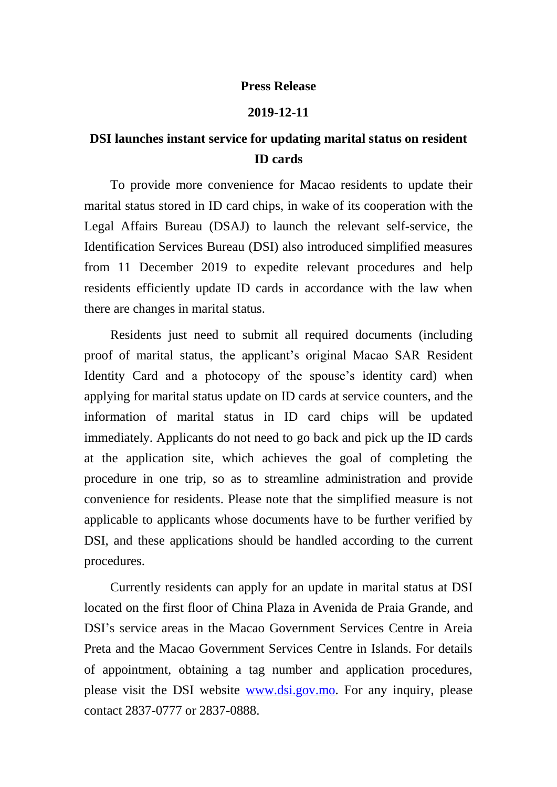## **Press Release**

## **2019-12-11**

## **DSI launches instant service for updating marital status on resident ID cards**

To provide more convenience for Macao residents to update their marital status stored in ID card chips, in wake of its cooperation with the Legal Affairs Bureau (DSAJ) to launch the relevant self-service, the Identification Services Bureau (DSI) also introduced simplified measures from 11 December 2019 to expedite relevant procedures and help residents efficiently update ID cards in accordance with the law when there are changes in marital status.

Residents just need to submit all required documents (including proof of marital status, the applicant's original Macao SAR Resident Identity Card and a photocopy of the spouse's identity card) when applying for marital status update on ID cards at service counters, and the information of marital status in ID card chips will be updated immediately. Applicants do not need to go back and pick up the ID cards at the application site, which achieves the goal of completing the procedure in one trip, so as to streamline administration and provide convenience for residents. Please note that the simplified measure is not applicable to applicants whose documents have to be further verified by DSI, and these applications should be handled according to the current procedures.

Currently residents can apply for an update in marital status at DSI located on the first floor of China Plaza in Avenida de Praia Grande, and DSI's service areas in the Macao Government Services Centre in Areia Preta and the Macao Government Services Centre in Islands. For details of appointment, obtaining a tag number and application procedures, please visit the DSI website [www.dsi.gov.mo.](http://www.dsi.gov.mo/) For any inquiry, please contact 2837-0777 or 2837-0888.